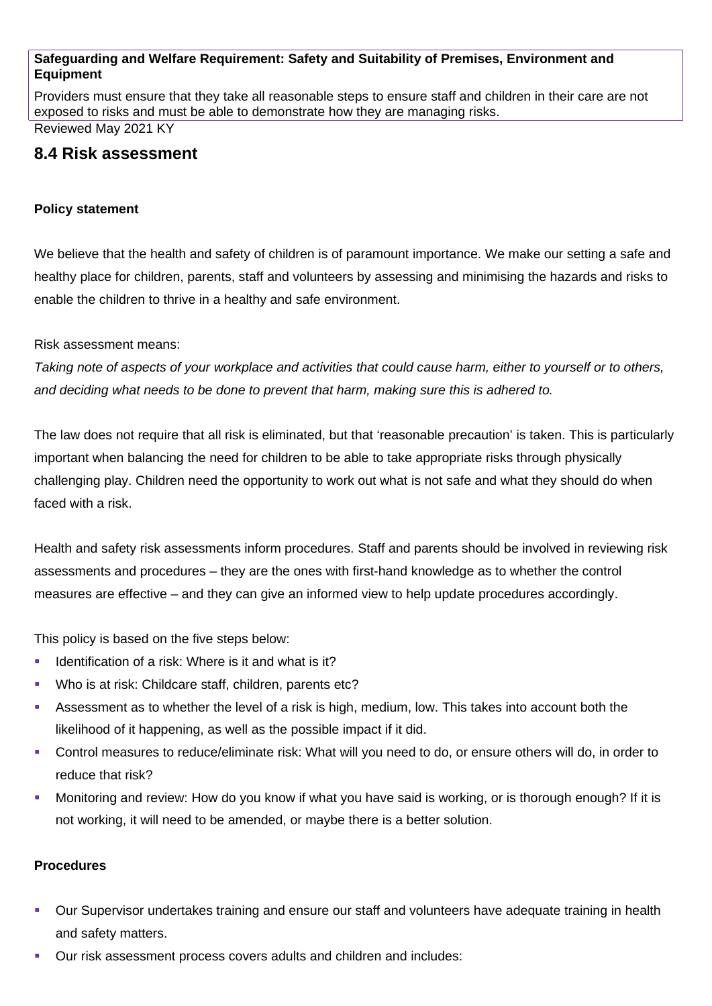## **Safeguarding and Welfare Requirement: Safety and Suitability of Premises, Environment and Equipment**

Providers must ensure that they take all reasonable steps to ensure staff and children in their care are not exposed to risks and must be able to demonstrate how they are managing risks. Reviewed May 2021 KY

# **8.4 Risk assessment**

## **Policy statement**

We believe that the health and safety of children is of paramount importance. We make our setting a safe and healthy place for children, parents, staff and volunteers by assessing and minimising the hazards and risks to enable the children to thrive in a healthy and safe environment.

Risk assessment means:

*Taking note of aspects of your workplace and activities that could cause harm, either to yourself or to others, and deciding what needs to be done to prevent that harm, making sure this is adhered to.*

The law does not require that all risk is eliminated, but that 'reasonable precaution' is taken. This is particularly important when balancing the need for children to be able to take appropriate risks through physically challenging play. Children need the opportunity to work out what is not safe and what they should do when faced with a risk.

Health and safety risk assessments inform procedures. Staff and parents should be involved in reviewing risk assessments and procedures – they are the ones with first-hand knowledge as to whether the control measures are effective – and they can give an informed view to help update procedures accordingly.

This policy is based on the five steps below:

- Identification of a risk: Where is it and what is it?
- Who is at risk: Childcare staff, children, parents etc?
- Assessment as to whether the level of a risk is high, medium, low. This takes into account both the likelihood of it happening, as well as the possible impact if it did.
- Control measures to reduce/eliminate risk: What will you need to do, or ensure others will do, in order to reduce that risk?
- Monitoring and review: How do you know if what you have said is working, or is thorough enough? If it is not working, it will need to be amended, or maybe there is a better solution.

#### **Procedures**

- Our Supervisor undertakes training and ensure our staff and volunteers have adequate training in health and safety matters.
- Our risk assessment process covers adults and children and includes: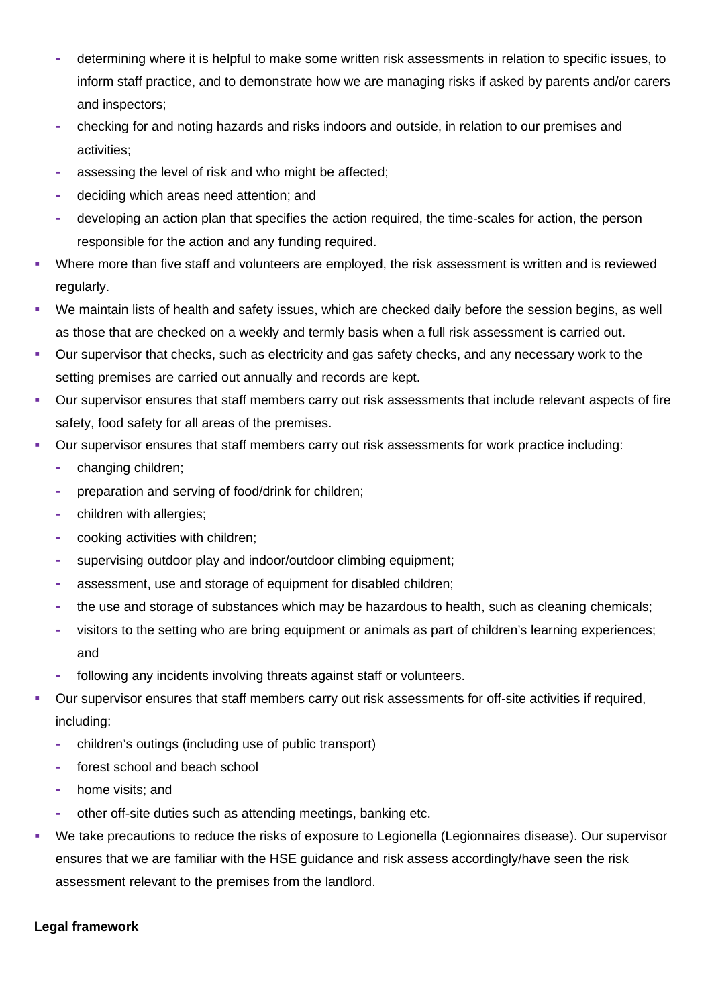- **-** determining where it is helpful to make some written risk assessments in relation to specific issues, to inform staff practice, and to demonstrate how we are managing risks if asked by parents and/or carers and inspectors;
- **-** checking for and noting hazards and risks indoors and outside, in relation to our premises and activities;
- **-** assessing the level of risk and who might be affected;
- **-** deciding which areas need attention; and
- **-** developing an action plan that specifies the action required, the time-scales for action, the person responsible for the action and any funding required.
- Where more than five staff and volunteers are employed, the risk assessment is written and is reviewed regularly.
- We maintain lists of health and safety issues, which are checked daily before the session begins, as well as those that are checked on a weekly and termly basis when a full risk assessment is carried out.
- Our supervisor that checks, such as electricity and gas safety checks, and any necessary work to the setting premises are carried out annually and records are kept.
- Our supervisor ensures that staff members carry out risk assessments that include relevant aspects of fire safety, food safety for all areas of the premises.
- Our supervisor ensures that staff members carry out risk assessments for work practice including:
	- **-** changing children;
	- **-** preparation and serving of food/drink for children;
	- **-** children with allergies;
	- **-** cooking activities with children;
	- **-** supervising outdoor play and indoor/outdoor climbing equipment;
	- **-** assessment, use and storage of equipment for disabled children;
	- **-** the use and storage of substances which may be hazardous to health, such as cleaning chemicals;
	- **-** visitors to the setting who are bring equipment or animals as part of children's learning experiences; and
	- **-** following any incidents involving threats against staff or volunteers.
- Our supervisor ensures that staff members carry out risk assessments for off-site activities if required, including:
	- **-** children's outings (including use of public transport)
	- **-** forest school and beach school
	- **-** home visits; and
	- **-** other off-site duties such as attending meetings, banking etc.
- We take precautions to reduce the risks of exposure to Legionella (Legionnaires disease). Our supervisor ensures that we are familiar with the HSE guidance and risk assess accordingly/have seen the risk assessment relevant to the premises from the landlord.

#### **Legal framework**